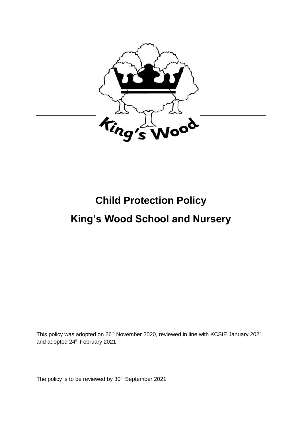

# **Child Protection Policy King's Wood School and Nursery**

This policy was adopted on 26<sup>th</sup> November 2020, reviewed in line with KCSIE January 2021 and adopted 24<sup>th</sup> February 2021

The policy is to be reviewed by 30<sup>th</sup> September 2021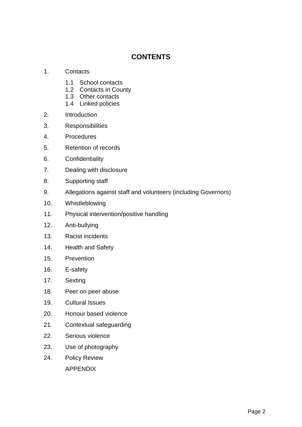# **CONTENTS**

- 1. Contacts
	- 1.1 School contacts
	- 1.2 Contacts in County
	- 1.3 Other contacts
	- 1.4 Linked policies
- 2. Introduction
- 3. Responsibilities
- 4. Procedures
- 5. Retention of records
- 6. Confidentiality
- 7. Dealing with disclosure
- 8. Supporting staff
- 9. Allegations against staff and volunteers (including Governors)
- 10. Whistleblowing
- 11. Physical intervention/positive handling
- 12. Anti-bullying
- 13. Racist incidents
- 14. Health and Safety
- 15. Prevention
- 16. E-safety
- 17. Sexting
- 18. Peer on peer abuse
- 19. Cultural Issues
- 20. Honour based violence
- 21. Contextual safeguarding
- 22. Serious violence
- 23. Use of photography
- 24. Policy Review APPENDIX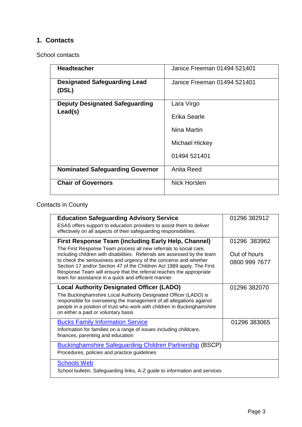# **1. Contacts**

School contacts

| <b>Headteacher</b>                           | Janice Freeman 01494 521401 |
|----------------------------------------------|-----------------------------|
| <b>Designated Safeguarding Lead</b><br>(DSL) | Janice Freeman 01494 521401 |
| <b>Deputy Designated Safeguarding</b>        | Lara Virgo                  |
| Lead(s)                                      | Erika Searle                |
|                                              | Nina Martin                 |
|                                              | Michael Hickey              |
|                                              | 01494 521401                |
| <b>Nominated Safeguarding Governor</b>       | Anita Reed                  |
| <b>Chair of Governors</b>                    | <b>Nick Horslen</b>         |

# Contacts in County

| <b>Education Safeguarding Advisory Service</b><br>ESAS offers support to education providers to assist them to deliver<br>effectively on all aspects of their safeguarding responsibilities.                                                                                                                                                                                                                               | 01296 382912                  |
|----------------------------------------------------------------------------------------------------------------------------------------------------------------------------------------------------------------------------------------------------------------------------------------------------------------------------------------------------------------------------------------------------------------------------|-------------------------------|
| <b>First Response Team (including Early Help, Channel)</b>                                                                                                                                                                                                                                                                                                                                                                 | 01296 383962                  |
| The First Response Team process all new referrals to social care,<br>including children with disabilities. Referrals are assessed by the team<br>to check the seriousness and urgency of the concerns and whether<br>Section 17 and/or Section 47 of the Children Act 1989 apply. The First<br>Response Team will ensure that the referral reaches the appropriate<br>team for assistance in a quick and efficient manner. | Out of hours<br>0800 999 7677 |
| <b>Local Authority Designated Officer (LADO)</b><br>The Buckinghamshire Local Authority Designated Officer (LADO) is<br>responsible for overseeing the management of all allegations against<br>people in a position of trust who work with children in Buckinghamshire<br>on either a paid or voluntary basis                                                                                                             | 01296 382070                  |
| <b>Bucks Family Information Service</b>                                                                                                                                                                                                                                                                                                                                                                                    | 01296 383065                  |
| Information for families on a range of issues including childcare,<br>finances, parenting and education                                                                                                                                                                                                                                                                                                                    |                               |
| <b>Buckinghamshire Safeguarding Children Partnership (BSCP)</b><br>Procedures, policies and practice guidelines                                                                                                                                                                                                                                                                                                            |                               |
| <b>Schools Web</b><br>School bulletin, Safeguarding links, A-Z guide to information and services                                                                                                                                                                                                                                                                                                                           |                               |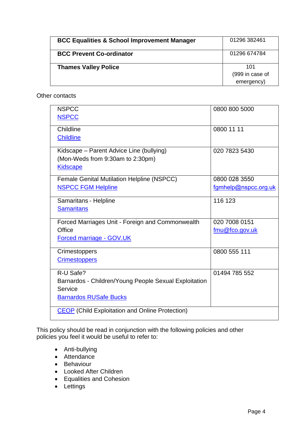| <b>BCC Equalities &amp; School Improvement Manager</b> | 01296 382461    |
|--------------------------------------------------------|-----------------|
| <b>BCC Prevent Co-ordinator</b>                        | 01296 674784    |
| <b>Thames Valley Police</b>                            | 101             |
|                                                        | (999 in case of |
|                                                        | emergency)      |

#### Other contacts

| <b>NSPCC</b>                                           | 0800 800 5000        |
|--------------------------------------------------------|----------------------|
| <b>NSPCC</b>                                           |                      |
|                                                        |                      |
| Childline                                              | 0800 11 11           |
| <b>Childline</b>                                       |                      |
|                                                        |                      |
| Kidscape - Parent Advice Line (bullying)               | 020 7823 5430        |
| (Mon-Weds from 9:30am to 2:30pm)                       |                      |
| <b>Kidscape</b>                                        |                      |
|                                                        |                      |
| <b>Female Genital Mutilation Helpline (NSPCC)</b>      | 0800 028 3550        |
| <b>NSPCC FGM Helpline</b>                              | fgmhelp@nspcc.org.uk |
|                                                        |                      |
| Samaritans - Helpline                                  | 116 123              |
| <b>Samaritans</b>                                      |                      |
|                                                        |                      |
| Forced Marriages Unit - Foreign and Commonwealth       | 020 7008 0151        |
| Office                                                 | fmu@fco.gov.uk       |
| <b>Forced marriage - GOV.UK</b>                        |                      |
|                                                        |                      |
| Crimestoppers                                          | 0800 555 111         |
| <b>Crimestoppers</b>                                   |                      |
|                                                        |                      |
| R-U Safe?                                              | 01494 785 552        |
| Barnardos - Children/Young People Sexual Exploitation  |                      |
| Service                                                |                      |
| <b>Barnardos RUSafe Bucks</b>                          |                      |
|                                                        |                      |
| <b>CEOP</b> (Child Exploitation and Online Protection) |                      |
|                                                        |                      |

This policy should be read in conjunction with the following policies and other policies you feel it would be useful to refer to:

- Anti-bullying
- Attendance
- Behaviour
- Looked After Children
- Equalities and Cohesion
- Lettings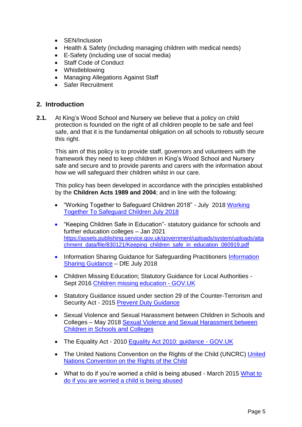- SEN/Inclusion
- Health & Safety (including managing children with medical needs)
- E-Safety (including use of social media)
- Staff Code of Conduct
- Whistleblowing
- Managing Allegations Against Staff
- Safer Recruitment

#### **2. Introduction**

**2.1.** At King's Wood School and Nursery we believe that a policy on child protection is founded on the right of all children people to be safe and feel safe, and that it is the fundamental obligation on all schools to robustly secure this right.

This aim of this policy is to provide staff, governors and volunteers with the framework they need to keep children in King's Wood School and Nursery safe and secure and to provide parents and carers with the information about how we will safeguard their children whilst in our care.

This policy has been developed in accordance with the principles established by the **Children Acts 1989 and 2004**; and in line with the following:

- "Working Together to Safeguard Children 2018" July 2018 [Working](https://www.gov.uk/government/publications/working-together-to-safeguard-children--2)  [Together To Safeguard Children July 2018](https://www.gov.uk/government/publications/working-together-to-safeguard-children--2)
- "Keeping Children Safe in Education"- statutory guidance for schools and further education colleges – Jan 2021 [https://assets.publishing.service.gov.uk/government/uploads/system/uploads/atta](https://assets.publishing.service.gov.uk/government/uploads/system/uploads/attachment_data/file/830121/Keeping_children_safe_in_education_060919.pdf) [chment\\_data/file/830121/Keeping\\_children\\_safe\\_in\\_education\\_060919.pdf](https://assets.publishing.service.gov.uk/government/uploads/system/uploads/attachment_data/file/830121/Keeping_children_safe_in_education_060919.pdf)
- • [Information](https://www.gov.uk/government/publications/safeguarding-practitioners-information-sharing-advice) Sharing Guidance for Safeguarding Practitioners Information [Sharing Guidance](https://www.gov.uk/government/publications/safeguarding-practitioners-information-sharing-advice) – DfE July 2018
- Children Missing Education; Statutory Guidance for Local Authorities Sept 2016 [Children missing education -](https://www.gov.uk/government/publications/children-missing-education) GOV.UK
- Statutory Guidance issued under section 29 of the Counter-Terrorism and Security Act - 2015 [Prevent Duty Guidance](https://www.gov.uk/government/publications/prevent-duty-guidance)
- Sexual Violence and Sexual Harassment between Children in Schools and Colleges – May 2018 [Sexual Violence and Sexual Harassment between](https://www.gov.uk/government/publications/sexual-violence-and-sexual-harassment-between-children-in-schools-and-colleges)  [Children in Schools and Colleges](https://www.gov.uk/government/publications/sexual-violence-and-sexual-harassment-between-children-in-schools-and-colleges)
- The Equality Act 2010 [Equality Act 2010: guidance -](https://www.gov.uk/guidance/equality-act-2010-guidance) GOV.UK
- The [United](https://www.gov.uk/government/publications/united-nations-convention-on-the-rights-of-the-child-uncrc-how-legislation-underpins-implementation-in-england) Nations Convention on the Rights of the Child (UNCRC) United [Nations Convention on the Rights of the Child](https://www.gov.uk/government/publications/united-nations-convention-on-the-rights-of-the-child-uncrc-how-legislation-underpins-implementation-in-england)
- • [What to](https://assets.publishing.service.gov.uk/government/uploads/system/uploads/attachment_data/file/419604/What_to_do_if_you_re_worried_a_child_is_being_abused.pdf) do if you're worried a child is being abused March 2015 What to [do if you are worried a child is being abused](https://assets.publishing.service.gov.uk/government/uploads/system/uploads/attachment_data/file/419604/What_to_do_if_you_re_worried_a_child_is_being_abused.pdf)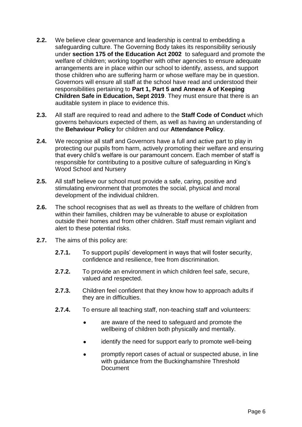- **2.2.** We believe clear governance and leadership is central to embedding a safeguarding culture. The Governing Body takes its responsibility seriously under **section 175 of the Education Act 2002** to safeguard and promote the welfare of children; working together with other agencies to ensure adequate arrangements are in place within our school to identify, assess, and support those children who are suffering harm or whose welfare may be in question. Governors will ensure all staff at the school have read and understood their responsibilities pertaining to **Part 1, Part 5 and Annexe A of Keeping Children Safe in Education, Sept 2019**. They must ensure that there is an auditable system in place to evidence this.
- **2.3.** All staff are required to read and adhere to the **Staff Code of Conduct** which governs behaviours expected of them, as well as having an understanding of the **Behaviour Policy** for children and our **Attendance Policy**.
- **2.4.** We recognise all staff and Governors have a full and active part to play in protecting our pupils from harm, actively promoting their welfare and ensuring that every child's welfare is our paramount concern. Each member of staff is responsible for contributing to a positive culture of safeguarding in King's Wood School and Nursery
- **2.5.** All staff believe our school must provide a safe, caring, positive and stimulating environment that promotes the social, physical and moral development of the individual children.
- **2.6.** The school recognises that as well as threats to the welfare of children from within their families, children may be vulnerable to abuse or exploitation outside their homes and from other children. Staff must remain vigilant and alert to these potential risks.
- **2.7.** The aims of this policy are:
	- **2.7.1.** To support pupils' development in ways that will foster security, confidence and resilience, free from discrimination.
	- **2.7.2.** To provide an environment in which children feel safe, secure, valued and respected.
	- **2.7.3.** Children feel confident that they know how to approach adults if they are in difficulties.
	- **2.7.4.** To ensure all teaching staff, non-teaching staff and volunteers:
		- are aware of the need to safeguard and promote the wellbeing of children both physically and mentally.
		- identify the need for support early to promote well-being
		- promptly report cases of actual or suspected abuse, in line with guidance from the Buckinghamshire Threshold **Document**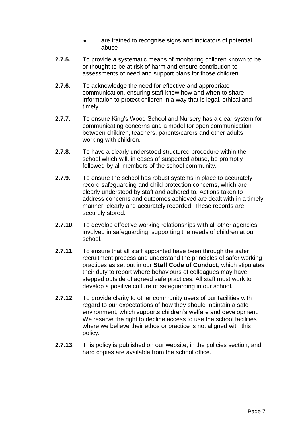- are trained to recognise signs and indicators of potential abuse
- **2.7.5.** To provide a systematic means of monitoring children known to be or thought to be at risk of harm and ensure contribution to assessments of need and support plans for those children.
- **2.7.6.** To acknowledge the need for effective and appropriate communication, ensuring staff know how and when to share information to protect children in a way that is legal, ethical and timely.
- **2.7.7.** To ensure King's Wood School and Nursery has a clear system for communicating concerns and a model for open communication between children, teachers, parents/carers and other adults working with children.
- **2.7.8.** To have a clearly understood structured procedure within the school which will, in cases of suspected abuse, be promptly followed by all members of the school community.
- **2.7.9.** To ensure the school has robust systems in place to accurately record safeguarding and child protection concerns, which are clearly understood by staff and adhered to. Actions taken to address concerns and outcomes achieved are dealt with in a timely manner, clearly and accurately recorded. These records are securely stored.
- **2.7.10.** To develop effective working relationships with all other agencies involved in safeguarding, supporting the needs of children at our school.
- **2.7.11.** To ensure that all staff appointed have been through the safer recruitment process and understand the principles of safer working practices as set out in our **Staff Code of Conduct**, which stipulates their duty to report where behaviours of colleagues may have stepped outside of agreed safe practices. All staff must work to develop a positive culture of safeguarding in our school.
- **2.7.12.** To provide clarity to other community users of our facilities with regard to our expectations of how they should maintain a safe environment, which supports children's welfare and development. We reserve the right to decline access to use the school facilities where we believe their ethos or practice is not aligned with this policy.
- **2.7.13.** This policy is published on our website, in the policies section, and hard copies are available from the school office.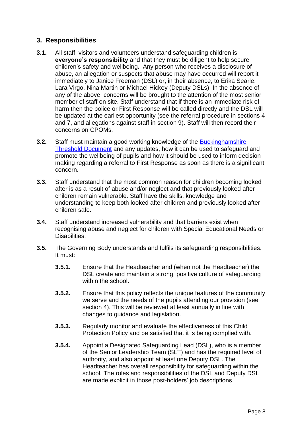# **3. Responsibilities**

- **3.1.** All staff, visitors and volunteers understand safeguarding children is **everyone's responsibility** and that they must be diligent to help secure children's safety and wellbeing**.** Any person who receives a disclosure of abuse, an allegation or suspects that abuse may have occurred will report it immediately to Janice Freeman (DSL) or, in their absence, to Erika Searle, Lara Virgo, Nina Martin or Michael Hickey (Deputy DSLs). In the absence of any of the above, concerns will be brought to the attention of the most senior member of staff on site. Staff understand that if there is an immediate risk of harm then the police or First Response will be called directly and the DSL will be updated at the earliest opportunity (see the referral procedure in sections 4 and 7, and allegations against staff in section 9). Staff will then record their concerns on CPOMs.
- **3.2.** Staff must maintain a good working knowledge of the [Buckinghamshire](https://www.bucks-lscb.org.uk/professionals/thresholds-document/)  [Threshold Document](https://www.bucks-lscb.org.uk/professionals/thresholds-document/) and any updates, how it can be used to safeguard and promote the wellbeing of pupils and how it should be used to inform decision making regarding a referral to First Response as soon as there is a significant concern.
- **3.3.** Staff understand that the most common reason for children becoming looked after is as a result of abuse and/or neglect and that previously looked after children remain vulnerable. Staff have the skills, knowledge and understanding to keep both looked after children and previously looked after children safe.
- **3.4.** Staff understand increased vulnerability and that barriers exist when recognising abuse and neglect for children with Special Educational Needs or Disabilities.
- **3.5.** The Governing Body understands and fulfils its safeguarding responsibilities. It must:
	- **3.5.1.** Ensure that the Headteacher and (when not the Headteacher) the DSL create and maintain a strong, positive culture of safeguarding within the school.
	- **3.5.2.** Ensure that this policy reflects the unique features of the community we serve and the needs of the pupils attending our provision (see section 4). This will be reviewed at least annually in line with changes to guidance and legislation.
	- **3.5.3.** Regularly monitor and evaluate the effectiveness of this Child Protection Policy and be satisfied that it is being complied with.
	- **3.5.4.** Appoint a Designated Safeguarding Lead (DSL), who is a member of the Senior Leadership Team (SLT) and has the required level of authority, and also appoint at least one Deputy DSL. The Headteacher has overall responsibility for safeguarding within the school. The roles and responsibilities of the DSL and Deputy DSL are made explicit in those post-holders' job descriptions.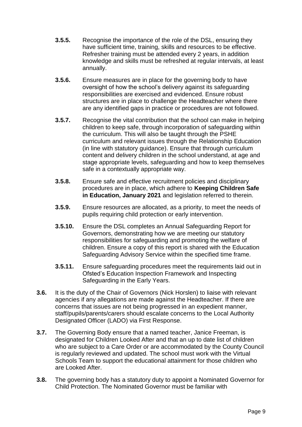- **3.5.5.** Recognise the importance of the role of the DSL, ensuring they have sufficient time, training, skills and resources to be effective. Refresher training must be attended every 2 years, in addition knowledge and skills must be refreshed at regular intervals, at least annually.
- **3.5.6.** Ensure measures are in place for the governing body to have oversight of how the school's delivery against its safeguarding responsibilities are exercised and evidenced. Ensure robust structures are in place to challenge the Headteacher where there are any identified gaps in practice or procedures are not followed.
- **3.5.7.** Recognise the vital contribution that the school can make in helping children to keep safe, through incorporation of safeguarding within the curriculum. This will also be taught through the PSHE curriculum and relevant issues through the Relationship Education (in line with statutory guidance). Ensure that through curriculum content and delivery children in the school understand, at age and stage appropriate levels, safeguarding and how to keep themselves safe in a contextually appropriate way.
- **3.5.8.** Ensure safe and effective recruitment policies and disciplinary procedures are in place, which adhere to **Keeping Children Safe in Education, January 2021** and legislation referred to therein.
- **3.5.9.** Ensure resources are allocated, as a priority, to meet the needs of pupils requiring child protection or early intervention.
- **3.5.10.** Ensure the DSL completes an Annual Safeguarding Report for Governors, demonstrating how we are meeting our statutory responsibilities for safeguarding and promoting the welfare of children. Ensure a copy of this report is shared with the Education Safeguarding Advisory Service within the specified time frame.
- **3.5.11.** Ensure safeguarding procedures meet the requirements laid out in Ofsted's Education Inspection Framework and Inspecting Safeguarding in the Early Years.
- **3.6.** It is the duty of the Chair of Governors (Nick Horslen) to liaise with relevant agencies if any allegations are made against the Headteacher. If there are concerns that issues are not being progressed in an expedient manner, staff/pupils/parents/carers should escalate concerns to the Local Authority Designated Officer (LADO) via First Response.
- **3.7.** The Governing Body ensure that a named teacher, Janice Freeman, is designated for Children Looked After and that an up to date list of children who are subject to a Care Order or are accommodated by the County Council is regularly reviewed and updated. The school must work with the Virtual Schools Team to support the educational attainment for those children who are Looked After.
- **3.8.** The governing body has a statutory duty to appoint a Nominated Governor for Child Protection. The Nominated Governor must be familiar with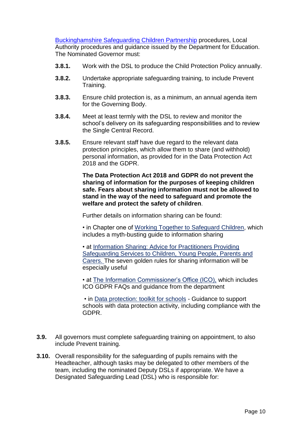[Buckinghamshire Safeguarding Children Partnership](https://www.bucks-lscb.org.uk/) procedures, Local Authority procedures and guidance issued by the Department for Education. The Nominated Governor must:

- **3.8.1.** Work with the DSL to produce the Child Protection Policy annually.
- **3.8.2.** Undertake appropriate safeguarding training, to include Prevent Training.
- **3.8.3.** Ensure child protection is, as a minimum, an annual agenda item for the Governing Body.
- **3.8.4.** Meet at least termly with the DSL to review and monitor the school's delivery on its safeguarding responsibilities and to review the Single Central Record.
- **3.8.5.** Ensure relevant staff have due regard to the relevant data protection principles, which allow them to share (and withhold) personal information, as provided for in the Data Protection Act 2018 and the GDPR.

**The Data Protection Act 2018 and GDPR do not prevent the sharing of information for the purposes of keeping children safe. Fears about sharing information must not be allowed to stand in the way of the need to safeguard and promote the welfare and protect the safety of children**.

Further details on information sharing can be found:

• in Chapter one of Working Together to Safeguard Children, which includes a myth-busting guide to information sharing

• at Information Sharing: Advice for Practitioners Providing Safeguarding Services to Children, Young People, Parents and Carers. The seven golden rules for sharing information will be especially useful

• at The Information Commissioner's Office (ICO), which includes ICO GDPR FAQs and guidance from the department

• in Data protection: toolkit for schools - Guidance to support schools with data protection activity, including compliance with the GDPR.

- **3.9.** All governors must complete safeguarding training on appointment, to also include Prevent training.
- **3.10.** Overall responsibility for the safeguarding of pupils remains with the Headteacher, although tasks may be delegated to other members of the team, including the nominated Deputy DSLs if appropriate. We have a Designated Safeguarding Lead (DSL) who is responsible for: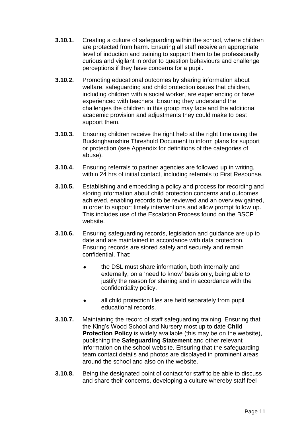- **3.10.1.** Creating a culture of safeguarding within the school, where children are protected from harm. Ensuring all staff receive an appropriate level of induction and training to support them to be professionally curious and vigilant in order to question behaviours and challenge perceptions if they have concerns for a pupil.
- **3.10.2.** Promoting educational outcomes by sharing information about welfare, safeguarding and child protection issues that children, including children with a social worker, are experiencing or have experienced with teachers. Ensuring they understand the challenges the children in this group may face and the additional academic provision and adjustments they could make to best support them.
- **3.10.3.** Ensuring children receive the right help at the right time using the Buckinghamshire Threshold Document to inform plans for support or protection (see Appendix for definitions of the categories of abuse).
- **3.10.4.** Ensuring referrals to partner agencies are followed up in writing, within 24 hrs of initial contact, including referrals to First Response.
- **3.10.5.** Establishing and embedding a policy and process for recording and storing information about child protection concerns and outcomes achieved, enabling records to be reviewed and an overview gained, in order to support timely interventions and allow prompt follow up. This includes use of the Escalation Process found on the BSCP website.
- **3.10.6.** Ensuring safeguarding records, legislation and guidance are up to date and are maintained in accordance with data protection. Ensuring records are stored safely and securely and remain confidential. That:
	- the DSL must share information, both internally and externally, on a 'need to know' basis only, being able to justify the reason for sharing and in accordance with the confidentiality policy.
	- all child protection files are held separately from pupil educational records.
- **3.10.7.** Maintaining the record of staff safeguarding training. Ensuring that the King's Wood School and Nursery most up to date **Child Protection Policy** is widely available (this may be on the website), publishing the **Safeguarding Statement** and other relevant information on the school website. Ensuring that the safeguarding team contact details and photos are displayed in prominent areas around the school and also on the website.
- **3.10.8.** Being the designated point of contact for staff to be able to discuss and share their concerns, developing a culture whereby staff feel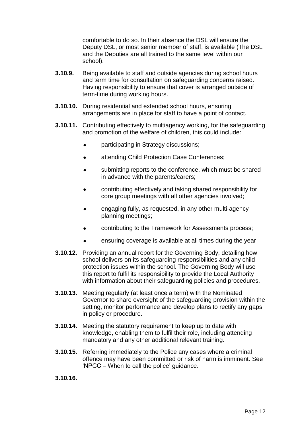comfortable to do so. In their absence the DSL will ensure the Deputy DSL, or most senior member of staff, is available (The DSL and the Deputies are all trained to the same level within our school).

- **3.10.9.** Being available to staff and outside agencies during school hours and term time for consultation on safeguarding concerns raised. Having responsibility to ensure that cover is arranged outside of term-time during working hours.
- **3.10.10.** During residential and extended school hours, ensuring arrangements are in place for staff to have a point of contact.
- **3.10.11.** Contributing effectively to multiagency working, for the safeguarding and promotion of the welfare of children, this could include:
	- participating in Strategy discussions;
	- **•** attending Child Protection Case Conferences;
	- submitting reports to the conference, which must be shared in advance with the parents/carers;
	- contributing effectively and taking shared responsibility for core group meetings with all other agencies involved;
	- engaging fully, as requested, in any other multi-agency planning meetings;
	- contributing to the Framework for Assessments process;
	- ensuring coverage is available at all times during the year
- **3.10.12.** Providing an annual report for the Governing Body, detailing how school delivers on its safeguarding responsibilities and any child protection issues within the school. The Governing Body will use this report to fulfil its responsibility to provide the Local Authority with information about their safeguarding policies and procedures.
- **3.10.13.** Meeting regularly (at least once a term) with the Nominated Governor to share oversight of the safeguarding provision within the setting, monitor performance and develop plans to rectify any gaps in policy or procedure.
- **3.10.14.** Meeting the statutory requirement to keep up to date with knowledge, enabling them to fulfil their role, including attending mandatory and any other additional relevant training.
- **3.10.15.** Referring immediately to the Police any cases where a criminal offence may have been committed or risk of harm is imminent. See 'NPCC – When to call the police' guidance.
- **3.10.16.**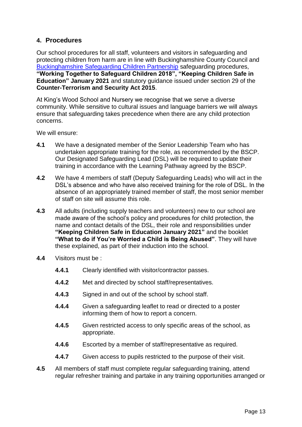# **4. Procedures**

Our school procedures for all staff, volunteers and visitors in safeguarding and protecting children from harm are in line with Buckinghamshire County Council and [Buckinghamshire Safeguarding Children Partnership](https://www.bucks-lscb.org.uk/) safeguarding procedures, **"Working Together to Safeguard Children 2018", "Keeping Children Safe in Education" January 2021** and statutory guidance issued under section 29 of the **Counter-Terrorism and Security Act 2015**.

At King's Wood School and Nursery we recognise that we serve a diverse community. While sensitive to cultural issues and language barriers we will always ensure that safeguarding takes precedence when there are any child protection concerns.

We will ensure:

- **4.1** We have a designated member of the Senior Leadership Team who has undertaken appropriate training for the role, as recommended by the BSCP. Our Designated Safeguarding Lead (DSL) will be required to update their training in accordance with the Learning Pathway agreed by the BSCP.
- **4.2** We have 4 members of staff (Deputy Safeguarding Leads) who will act in the DSL's absence and who have also received training for the role of DSL. In the absence of an appropriately trained member of staff, the most senior member of staff on site will assume this role.
- **4.3** All adults (including supply teachers and volunteers) new to our school are made aware of the school's policy and procedures for child protection, the name and contact details of the DSL, their role and responsibilities under **"Keeping Children Safe in Education January 2021"** and the booklet **"What to do if You're Worried a Child is Being Abused"**. They will have these explained, as part of their induction into the school.
- **4.4** Visitors must be :
	- **4.4.1** Clearly identified with visitor/contractor passes.
	- **4.4.2** Met and directed by school staff/representatives.
	- **4.4.3** Signed in and out of the school by school staff.
	- **4.4.4** Given a safeguarding leaflet to read or directed to a poster informing them of how to report a concern.
	- **4.4.5** Given restricted access to only specific areas of the school, as appropriate.
	- **4.4.6** Escorted by a member of staff/representative as required.
	- **4.4.7** Given access to pupils restricted to the purpose of their visit.
- **4.5** All members of staff must complete regular safeguarding training, attend regular refresher training and partake in any training opportunities arranged or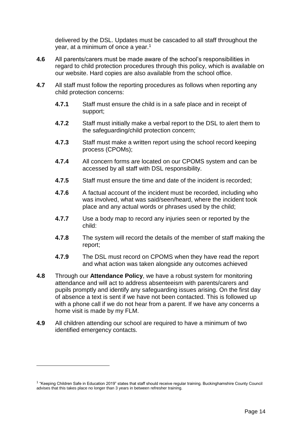delivered by the DSL. Updates must be cascaded to all staff throughout the year, at a minimum of once a year.<sup>1</sup>

- **4.6** All parents/carers must be made aware of the school's responsibilities in regard to child protection procedures through this policy, which is available on our website. Hard copies are also available from the school office.
- **4.7** All staff must follow the reporting procedures as follows when reporting any child protection concerns:
	- **4.7.1** Staff must ensure the child is in a safe place and in receipt of support;
	- **4.7.2** Staff must initially make a verbal report to the DSL to alert them to the safeguarding/child protection concern;
	- **4.7.3** Staff must make a written report using the school record keeping process (CPOMs);
	- **4.7.4** All concern forms are located on our CPOMS system and can be accessed by all staff with DSL responsibility.
	- **4.7.5** Staff must ensure the time and date of the incident is recorded;
	- **4.7.6** A factual account of the incident must be recorded, including who was involved, what was said/seen/heard, where the incident took place and any actual words or phrases used by the child;
	- **4.7.7** Use a body map to record any injuries seen or reported by the child:
	- **4.7.8** The system will record the details of the member of staff making the report;
	- **4.7.9** The DSL must record on CPOMS when they have read the report and what action was taken alongside any outcomes achieved
- **4.8** Through our **Attendance Policy**, we have a robust system for monitoring attendance and will act to address absenteeism with parents/carers and pupils promptly and identify any safeguarding issues arising. On the first day of absence a text is sent if we have not been contacted. This is followed up with a phone call if we do not hear from a parent. If we have any concerns a home visit is made by my FLM.
- **4.9** All children attending our school are required to have a minimum of two identified emergency contacts.

-

<sup>1</sup> "Keeping Children Safe in Education 2019" states that staff should receive regular training. Buckinghamshire County Council advises that this takes place no longer than 3 years in between refresher training.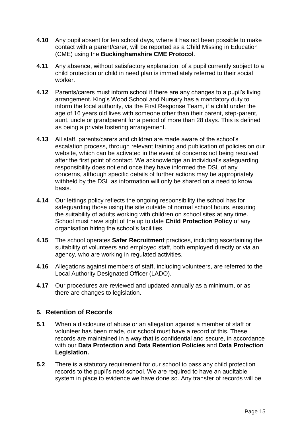- **4.10** Any pupil absent for ten school days, where it has not been possible to make contact with a parent/carer, will be reported as a Child Missing in Education (CME) using the **Buckinghamshire CME Protocol**.
- **4.11** Any absence, without satisfactory explanation, of a pupil currently subject to a child protection or child in need plan is immediately referred to their social worker.
- **4.12** Parents/carers must inform school if there are any changes to a pupil's living arrangement. King's Wood School and Nursery has a mandatory duty to inform the local authority, via the First Response Team, if a child under the age of 16 years old lives with someone other than their parent, step-parent, aunt, uncle or grandparent for a period of more than 28 days. This is defined as being a private fostering arrangement.
- **4.13** All staff, parents/carers and children are made aware of the school's escalation process, through relevant training and publication of policies on our website, which can be activated in the event of concerns not being resolved after the first point of contact. We acknowledge an individual's safeguarding responsibility does not end once they have informed the DSL of any concerns, although specific details of further actions may be appropriately withheld by the DSL as information will only be shared on a need to know basis.
- **4.14** Our lettings policy reflects the ongoing responsibility the school has for safeguarding those using the site outside of normal school hours, ensuring the suitability of adults working with children on school sites at any time. School must have sight of the up to date **Child Protection Policy** of any organisation hiring the school's facilities.
- **4.15** The school operates **Safer Recruitment** practices, including ascertaining the suitability of volunteers and employed staff, both employed directly or via an agency, who are working in regulated activities.
- **4.16** Allegations against members of staff, including volunteers, are referred to the Local Authority Designated Officer (LADO).
- **4.17** Our procedures are reviewed and updated annually as a minimum, or as there are changes to legislation.

# **5. Retention of Records**

- **5.1** When a disclosure of abuse or an allegation against a member of staff or volunteer has been made, our school must have a record of this. These records are maintained in a way that is confidential and secure, in accordance with our **Data Protection and Data Retention Policies** and **Data Protection Legislation.**
- **5.2** There is a statutory requirement for our school to pass any child protection records to the pupil's next school. We are required to have an auditable system in place to evidence we have done so. Any transfer of records will be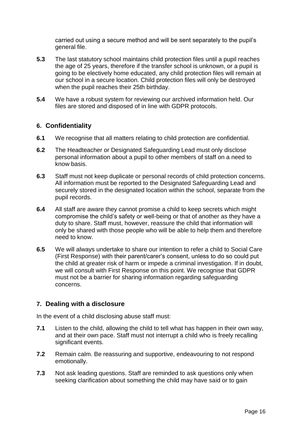carried out using a secure method and will be sent separately to the pupil's general file.

- **5.3** The last statutory school maintains child protection files until a pupil reaches the age of 25 years, therefore if the transfer school is unknown, or a pupil is going to be electively home educated, any child protection files will remain at our school in a secure location. Child protection files will only be destroyed when the pupil reaches their 25th birthday.
- **5.4** We have a robust system for reviewing our archived information held. Our files are stored and disposed of in line with GDPR protocols.

# **6. Confidentiality**

- **6.1** We recognise that all matters relating to child protection are confidential.
- **6.2** The Headteacher or Designated Safeguarding Lead must only disclose personal information about a pupil to other members of staff on a need to know basis.
- **6.3** Staff must not keep duplicate or personal records of child protection concerns. All information must be reported to the Designated Safeguarding Lead and securely stored in the designated location within the school, separate from the pupil records.
- **6.4** All staff are aware they cannot promise a child to keep secrets which might compromise the child's safety or well-being or that of another as they have a duty to share. Staff must, however, reassure the child that information will only be shared with those people who will be able to help them and therefore need to know.
- **6.5** We will always undertake to share our intention to refer a child to Social Care (First Response) with their parent/carer's consent, unless to do so could put the child at greater risk of harm or impede a criminal investigation. If in doubt, we will consult with First Response on this point. We recognise that GDPR must not be a barrier for sharing information regarding safeguarding concerns.

# **7. Dealing with a disclosure**

In the event of a child disclosing abuse staff must:

- **7.1** Listen to the child, allowing the child to tell what has happen in their own way, and at their own pace. Staff must not interrupt a child who is freely recalling significant events.
- **7.2** Remain calm. Be reassuring and supportive, endeavouring to not respond emotionally.
- **7.3** Not ask leading questions. Staff are reminded to ask questions only when seeking clarification about something the child may have said or to gain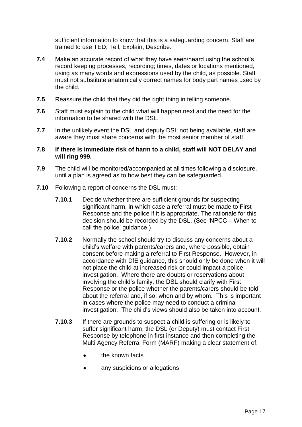sufficient information to know that this is a safeguarding concern. Staff are trained to use TED; Tell, Explain, Describe.

- **7.4** Make an accurate record of what they have seen/heard using the school's record keeping processes, recording; times, dates or locations mentioned, using as many words and expressions used by the child, as possible. Staff must not substitute anatomically correct names for body part names used by the child.
- **7.5** Reassure the child that they did the right thing in telling someone.
- **7.6** Staff must explain to the child what will happen next and the need for the information to be shared with the DSL.
- **7.7** In the unlikely event the DSL and deputy DSL not being available, staff are aware they must share concerns with the most senior member of staff.
- **7.8 If there is immediate risk of harm to a child, staff will NOT DELAY and will ring 999.**
- **7.9** The child will be monitored/accompanied at all times following a disclosure, until a plan is agreed as to how best they can be safeguarded.
- **7.10** Following a report of concerns the DSL must:
	- **7.10.1** Decide whether there are sufficient grounds for suspecting significant harm, in which case a referral must be made to First Response and the police if it is appropriate. The rationale for this decision should be recorded by the DSL. (See 'NPCC – When to call the police' guidance.)
	- **7.10.2** Normally the school should try to discuss any concerns about a child's welfare with parents/carers and, where possible, obtain consent before making a referral to First Response. However, in accordance with DfE guidance, this should only be done when it will not place the child at increased risk or could impact a police investigation. Where there are doubts or reservations about involving the child's family, the DSL should clarify with First Response or the police whether the parents/carers should be told about the referral and, if so, when and by whom. This is important in cases where the police may need to conduct a criminal investigation. The child's views should also be taken into account.
	- **7.10.3** If there are grounds to suspect a child is suffering or is likely to suffer significant harm, the DSL (or Deputy) must contact First Response by telephone in first instance and then completing the Multi Agency Referral Form (MARF) making a clear statement of:
		- the known facts
		- any suspicions or allegations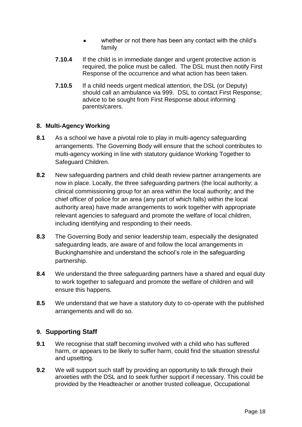- whether or not there has been any contact with the child's family
- **7.10.4** If the child is in immediate danger and urgent protective action is required, the police must be called. The DSL must then notify First Response of the occurrence and what action has been taken.
- **7.10.5** If a child needs urgent medical attention, the DSL (or Deputy) should call an ambulance via 999. DSL to contact First Response; advice to be sought from First Response about informing parents/carers.

#### **8. Multi-Agency Working**

- **8.1** As a school we have a pivotal role to play in multi-agency safeguarding arrangements. The Governing Body will ensure that the school contributes to multi-agency working in line with statutory guidance Working Together to Safeguard Children.
- **8.2** New safeguarding partners and child death review partner arrangements are now in place. Locally, the three safeguarding partners (the local authority; a clinical commissioning group for an area within the local authority; and the chief officer of police for an area (any part of which falls) within the local authority area) have made arrangements to work together with appropriate relevant agencies to safeguard and promote the welfare of local children, including identifying and responding to their needs.
- **8.3** The Governing Body and senior leadership team, especially the designated safeguarding leads, are aware of and follow the local arrangements in Buckinghamshire and understand the school's role in the safeguarding partnership.
- **8.4** We understand the three safeguarding partners have a shared and equal duty to work together to safeguard and promote the welfare of children and will ensure this happens.
- **8.5** We understand that we have a statutory duty to co-operate with the published arrangements and will do so.

# **9. Supporting Staff**

- **9.1** We recognise that staff becoming involved with a child who has suffered harm, or appears to be likely to suffer harm, could find the situation stressful and upsetting.
- **9.2** We will support such staff by providing an opportunity to talk through their anxieties with the DSL and to seek further support if necessary. This could be provided by the Headteacher or another trusted colleague, Occupational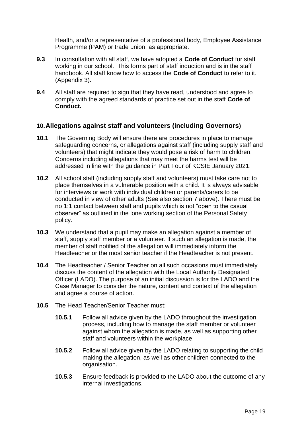Health, and/or a representative of a professional body, Employee Assistance Programme (PAM) or trade union, as appropriate.

- **9.3** In consultation with all staff, we have adopted a **Code of Conduct** for staff working in our school. This forms part of staff induction and is in the staff handbook. All staff know how to access the **Code of Conduct** to refer to it. (Appendix 3).
- **9.4** All staff are required to sign that they have read, understood and agree to comply with the agreed standards of practice set out in the staff **Code of Conduct.**

# **10.Allegations against staff and volunteers (including Governors)**

- **10.1** The Governing Body will ensure there are procedures in place to manage safeguarding concerns, or allegations against staff (including supply staff and volunteers) that might indicate they would pose a risk of harm to children. Concerns including allegations that may meet the harms test will be addressed in line with the guidance in Part Four of KCSIE January 2021.
- **10.2** All school staff (including supply staff and volunteers) must take care not to place themselves in a vulnerable position with a child. It is always advisable for interviews or work with individual children or parents/carers to be conducted in view of other adults (See also section 7 above). There must be no 1:1 contact between staff and pupils which is not "open to the casual observer" as outlined in the lone working section of the Personal Safety policy.
- **10.3** We understand that a pupil may make an allegation against a member of staff, supply staff member or a volunteer. If such an allegation is made, the member of staff notified of the allegation will immediately inform the Headteacher or the most senior teacher if the Headteacher is not present.
- **10.4** The Headteacher / Senior Teacher on all such occasions must immediately discuss the content of the allegation with the Local Authority Designated Officer (LADO). The purpose of an initial discussion is for the LADO and the Case Manager to consider the nature, content and context of the allegation and agree a course of action.
- **10.5** The Head Teacher/Senior Teacher must:
	- **10.5.1** Follow all advice given by the LADO throughout the investigation process, including how to manage the staff member or volunteer against whom the allegation is made, as well as supporting other staff and volunteers within the workplace.
	- **10.5.2** Follow all advice given by the LADO relating to supporting the child making the allegation, as well as other children connected to the organisation.
	- **10.5.3** Ensure feedback is provided to the LADO about the outcome of any internal investigations.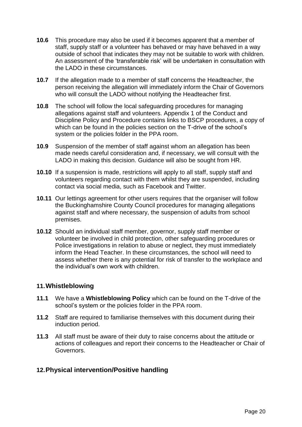- **10.6** This procedure may also be used if it becomes apparent that a member of staff, supply staff or a volunteer has behaved or may have behaved in a way outside of school that indicates they may not be suitable to work with children. An assessment of the 'transferable risk' will be undertaken in consultation with the LADO in these circumstances.
- **10.7** If the allegation made to a member of staff concerns the Headteacher, the person receiving the allegation will immediately inform the Chair of Governors who will consult the LADO without notifying the Headteacher first.
- **10.8** The school will follow the local safeguarding procedures for managing allegations against staff and volunteers. Appendix 1 of the Conduct and Discipline Policy and Procedure contains links to BSCP procedures, a copy of which can be found in the policies section on the T-drive of the school's system or the policies folder in the PPA room.
- **10.9** Suspension of the member of staff against whom an allegation has been made needs careful consideration and, if necessary, we will consult with the LADO in making this decision. Guidance will also be sought from HR.
- **10.10** If a suspension is made, restrictions will apply to all staff, supply staff and volunteers regarding contact with them whilst they are suspended, including contact via social media, such as Facebook and Twitter.
- **10.11** Our lettings agreement for other users requires that the organiser will follow the Buckinghamshire County Council procedures for managing allegations against staff and where necessary, the suspension of adults from school premises.
- **10.12** Should an individual staff member, governor, supply staff member or volunteer be involved in child protection, other safeguarding procedures or Police investigations in relation to abuse or neglect, they must immediately inform the Head Teacher. In these circumstances, the school will need to assess whether there is any potential for risk of transfer to the workplace and the individual's own work with children.

# **11.Whistleblowing**

- **11.1** We have a **Whistleblowing Policy** which can be found on the T-drive of the school's system or the policies folder in the PPA room.
- **11.2** Staff are required to familiarise themselves with this document during their induction period.
- **11.3** All staff must be aware of their duty to raise concerns about the attitude or actions of colleagues and report their concerns to the Headteacher or Chair of Governors.

# **12.Physical intervention/Positive handling**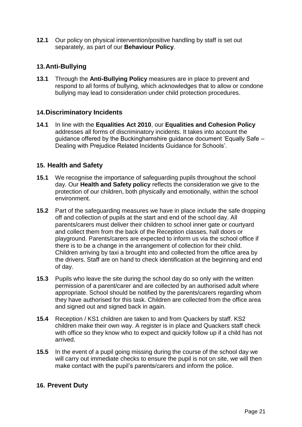**12.1** Our policy on physical intervention/positive handling by staff is set out separately, as part of our **Behaviour Policy**.

# **13.Anti-Bullying**

**13.1** Through the **Anti-Bullying Policy** measures are in place to prevent and respond to all forms of bullying, which acknowledges that to allow or condone bullying may lead to consideration under child protection procedures.

#### **14.Discriminatory Incidents**

**14.1** In line with the **Equalities Act 2010**, our **Equalities and Cohesion Policy** addresses all forms of discriminatory incidents. It takes into account the guidance offered by the Buckinghamshire guidance document 'Equally Safe – Dealing with Prejudice Related Incidents Guidance for Schools'.

#### **15. Health and Safety**

- **15.1** We recognise the importance of safeguarding pupils throughout the school day. Our **Health and Safety policy** reflects the consideration we give to the protection of our children, both physically and emotionally, within the school environment.
- **15.2** Part of the safeguarding measures we have in place include the safe dropping off and collection of pupils at the start and end of the school day. All parents/carers must deliver their children to school inner gate or courtyard and collect them from the back of the Reception classes, hall doors or playground. Parents/carers are expected to inform us via the school office if there is to be a change in the arrangement of collection for their child. Children arriving by taxi a brought into and collected from the office area by the drivers. Staff are on hand to check identification at the beginning and end of day.
- **15.3** Pupils who leave the site during the school day do so only with the written permission of a parent/carer and are collected by an authorised adult where appropriate. School should be notified by the parents/carers regarding whom they have authorised for this task. Children are collected from the office area and signed out and signed back in again.
- **15.4** Reception / KS1 children are taken to and from Quackers by staff. KS2 children make their own way. A register is in place and Quackers staff check with office so they know who to expect and quickly follow up if a child has not arrived.
- **15.5** In the event of a pupil going missing during the course of the school day we will carry out immediate checks to ensure the pupil is not on site, we will then make contact with the pupil's parents/carers and inform the police.

#### **16. Prevent Duty**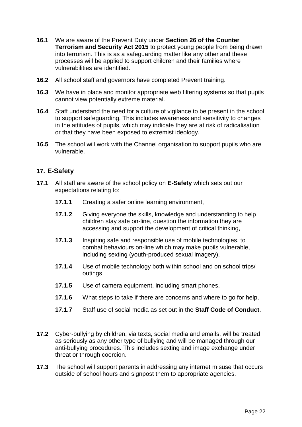- **16.1** We are aware of the Prevent Duty under **Section 26 of the Counter Terrorism and Security Act 2015** to protect young people from being drawn into terrorism. This is as a safeguarding matter like any other and these processes will be applied to support children and their families where vulnerabilities are identified.
- **16.2** All school staff and governors have completed Prevent training.
- **16.3** We have in place and monitor appropriate web filtering systems so that pupils cannot view potentially extreme material.
- **16.4** Staff understand the need for a culture of vigilance to be present in the school to support safeguarding. This includes awareness and sensitivity to changes in the attitudes of pupils, which may indicate they are at risk of radicalisation or that they have been exposed to extremist ideology.
- **16.5** The school will work with the Channel organisation to support pupils who are vulnerable.

#### **17. E-Safety**

- **17.1** All staff are aware of the school policy on **E-Safety** which sets out our expectations relating to:
	- **17.1.1** Creating a safer online learning environment,
	- **17.1.2** Giving everyone the skills, knowledge and understanding to help children stay safe on-line, question the information they are accessing and support the development of critical thinking,
	- **17.1.3** Inspiring safe and responsible use of mobile technologies, to combat behaviours on-line which may make pupils vulnerable, including sexting (youth-produced sexual imagery),
	- **17.1.4** Use of mobile technology both within school and on school trips/ outings
	- **17.1.5** Use of camera equipment, including smart phones,
	- **17.1.6** What steps to take if there are concerns and where to go for help.
	- **17.1.7** Staff use of social media as set out in the **Staff Code of Conduct**.
- **17.2** Cyber-bullying by children, via texts, social media and emails, will be treated as seriously as any other type of bullying and will be managed through our anti-bullying procedures. This includes sexting and image exchange under threat or through coercion.
- **17.3** The school will support parents in addressing any internet misuse that occurs outside of school hours and signpost them to appropriate agencies.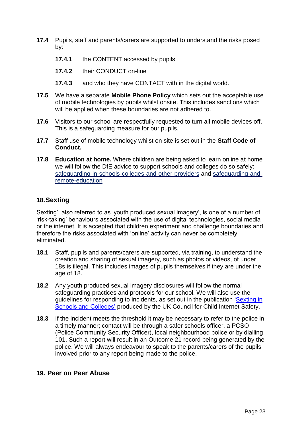- **17.4** Pupils, staff and parents/carers are supported to understand the risks posed by:
	- **17.4.1** the CONTENT accessed by pupils
	- **17.4.2** their CONDUCT on-line
	- **17.4.3** and who they have CONTACT with in the digital world.
- **17.5** We have a separate **Mobile Phone Policy** which sets out the acceptable use of mobile technologies by pupils whilst onsite. This includes sanctions which will be applied when these boundaries are not adhered to.
- **17.6** Visitors to our school are respectfully requested to turn all mobile devices off. This is a safeguarding measure for our pupils.
- **17.7** Staff use of mobile technology whilst on site is set out in the **Staff Code of Conduct.**
- **17.8 Education at home.** Where children are being asked to learn online at home we will follow the DfE advice to support schools and colleges do so safely: safeguarding-in-schools-colleges-and-other-providers and safeguarding-andremote-education

# **18.Sexting**

Sexting', also referred to as 'youth produced sexual imagery', is one of a number of 'risk-taking' behaviours associated with the use of digital technologies, social media or the internet. It is accepted that children experiment and challenge boundaries and therefore the risks associated with 'online' activity can never be completely eliminated.

- **18.1** Staff, pupils and parents/carers are supported, via training, to understand the creation and sharing of sexual imagery, such as photos or videos, of under 18s is illegal. This includes images of pupils themselves if they are under the age of 18.
- **18.2** Any youth produced sexual imagery disclosures will follow the normal safeguarding practices and protocols for our school. We will also use the guidelines for responding to incidents, as set out in the publication ['Sexting in](https://www.gov.uk/government/publications/sexting-in-schools-and-colleges)  [Schools and Colleges'](https://www.gov.uk/government/publications/sexting-in-schools-and-colleges) produced by the UK Council for Child Internet Safety.
- **18.3** If the incident meets the threshold it may be necessary to refer to the police in a timely manner; contact will be through a safer schools officer, a PCSO (Police Community Security Officer), local neighbourhood police or by dialling 101. Such a report will result in an Outcome 21 record being generated by the police. We will always endeavour to speak to the parents/carers of the pupils involved prior to any report being made to the police.

# **19. Peer on Peer Abuse**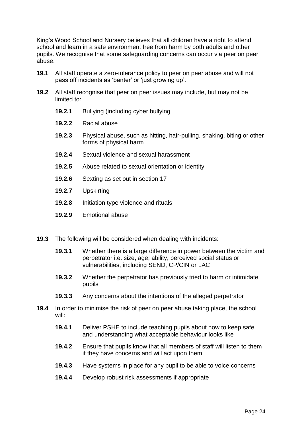King's Wood School and Nursery believes that all children have a right to attend school and learn in a safe environment free from harm by both adults and other pupils. We recognise that some safeguarding concerns can occur via peer on peer abuse.

- **19.1** All staff operate a zero-tolerance policy to peer on peer abuse and will not pass off incidents as 'banter' or 'just growing up'.
- **19.2** All staff recognise that peer on peer issues may include, but may not be limited to:
	- **19.2.1** Bullying (including cyber bullying
	- **19.2.2** Racial abuse
	- **19.2.3** Physical abuse, such as hitting, hair-pulling, shaking, biting or other forms of physical harm
	- **19.2.4** Sexual violence and sexual harassment
	- **19.2.5** Abuse related to sexual orientation or identity
	- **19.2.6** Sexting as set out in section 17
	- **19.2.7** Upskirting
	- **19.2.8** Initiation type violence and rituals
	- **19.2.9** Emotional abuse
- **19.3** The following will be considered when dealing with incidents:
	- **19.3.1** Whether there is a large difference in power between the victim and perpetrator i.e. size, age, ability, perceived social status or vulnerabilities, including SEND, CP/CIN or LAC
	- **19.3.2** Whether the perpetrator has previously tried to harm or intimidate pupils
	- **19.3.3** Any concerns about the intentions of the alleged perpetrator
- **19.4** In order to minimise the risk of peer on peer abuse taking place, the school will:
	- **19.4.1** Deliver PSHE to include teaching pupils about how to keep safe and understanding what acceptable behaviour looks like
	- **19.4.2** Ensure that pupils know that all members of staff will listen to them if they have concerns and will act upon them
	- **19.4.3** Have systems in place for any pupil to be able to voice concerns
	- **19.4.4** Develop robust risk assessments if appropriate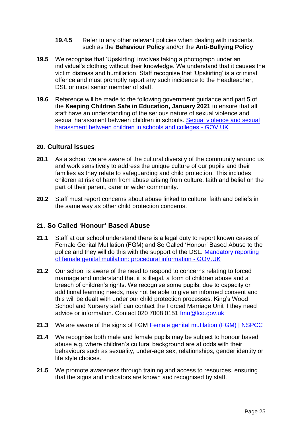- **19.4.5** Refer to any other relevant policies when dealing with incidents, such as the **Behaviour Policy** and/or the **Anti-Bullying Policy**
- **19.5** We recognise that 'Upskirting' involves taking a photograph under an individual's clothing without their knowledge. We understand that it causes the victim distress and humiliation. Staff recognise that 'Upskirting' is a criminal offence and must promptly report any such incidence to the Headteacher, DSL or most senior member of staff.
- **19.6** Reference will be made to the following government guidance and part 5 of the **Keeping Children Safe in Education, January 2021** to ensure that all staff have an understanding of the serious nature of sexual violence and sexual harassment between children in schools. [Sexual violence and sexual](https://www.gov.uk/government/publications/sexual-violence-and-sexual-harassment-between-children-in-schools-and-colleges)  [harassment between children in schools and colleges -](https://www.gov.uk/government/publications/sexual-violence-and-sexual-harassment-between-children-in-schools-and-colleges) GOV.UK

#### **20. Cultural Issues**

- **20.1** As a school we are aware of the cultural diversity of the community around us and work sensitively to address the unique culture of our pupils and their families as they relate to safeguarding and child protection. This includes children at risk of harm from abuse arising from culture, faith and belief on the part of their parent, carer or wider community.
- **20.2** Staff must report concerns about abuse linked to culture, faith and beliefs in the same way as other child protection concerns.

# **21. So Called 'Honour' Based Abuse**

- **21.1** Staff at our school understand there is a legal duty to report known cases of Female Genital Mutilation (FGM) and So Called 'Honour' Based Abuse to the police and they will do this with the support of the DSL. [Mandatory reporting](https://www.gov.uk/government/publications/mandatory-reporting-of-female-genital-mutilation-procedural-information)  [of female genital mutilation: procedural information -](https://www.gov.uk/government/publications/mandatory-reporting-of-female-genital-mutilation-procedural-information) GOV.UK
- **21.2** Our school is aware of the need to respond to concerns relating to forced marriage and understand that it is illegal, a form of children abuse and a breach of children's rights. We recognise some pupils, due to capacity or additional learning needs, may not be able to give an informed consent and this will be dealt with under our child protection processes. King's Wood School and Nursery staff can contact the Forced Marriage Unit if they need advice or information. Contact 020 7008 0151 [fmu@fco.gov.uk](mailto:fmu@fco.gov.uk)
- **21.3** We are aware of the signs of FGM [Female genital mutilation \(FGM\) | NSPCC](https://www.nspcc.org.uk/what-is-child-abuse/types-of-abuse/female-genital-mutilation-fgm/)
- **21.4** We recognise both male and female pupils may be subject to honour based abuse e.g. where children's cultural background are at odds with their behaviours such as sexuality, under-age sex, relationships, gender identity or life style choices.
- **21.5** We promote awareness through training and access to resources, ensuring that the signs and indicators are known and recognised by staff.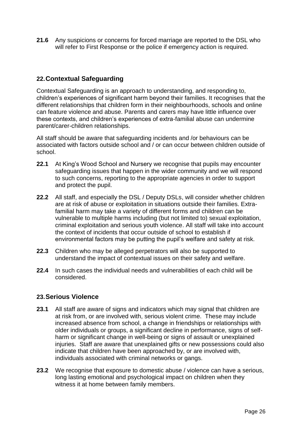**21.6** Any suspicions or concerns for forced marriage are reported to the DSL who will refer to First Response or the police if emergency action is required.

# **22.Contextual Safeguarding**

Contextual Safeguarding is an approach to understanding, and responding to, children's experiences of significant harm beyond their families. It recognises that the different relationships that children form in their neighbourhoods, schools and online can feature violence and abuse. Parents and carers may have little influence over these contexts, and children's experiences of extra-familial abuse can undermine parent/carer-children relationships.

All staff should be aware that safeguarding incidents and /or behaviours can be associated with factors outside school and / or can occur between children outside of school.

- **22.1** At King's Wood School and Nursery we recognise that pupils may encounter safeguarding issues that happen in the wider community and we will respond to such concerns, reporting to the appropriate agencies in order to support and protect the pupil.
- **22.2** All staff, and especially the DSL / Deputy DSLs, will consider whether children are at risk of abuse or exploitation in situations outside their families. Extrafamilial harm may take a variety of different forms and children can be vulnerable to multiple harms including (but not limited to) sexual exploitation, criminal exploitation and serious youth violence. All staff will take into account the context of incidents that occur outside of school to establish if environmental factors may be putting the pupil's welfare and safety at risk.
- **22.3** Children who may be alleged perpetrators will also be supported to understand the impact of contextual issues on their safety and welfare.
- **22.4** In such cases the individual needs and vulnerabilities of each child will be considered.

# **23.Serious Violence**

- **23.1** All staff are aware of signs and indicators which may signal that children are at risk from, or are involved with, serious violent crime. These may include increased absence from school, a change in friendships or relationships with older individuals or groups, a significant decline in performance, signs of selfharm or significant change in well-being or signs of assault or unexplained injuries. Staff are aware that unexplained gifts or new possessions could also indicate that children have been approached by, or are involved with, individuals associated with criminal networks or gangs.
- **23.2** We recognise that exposure to domestic abuse / violence can have a serious, long lasting emotional and psychological impact on children when they witness it at home between family members.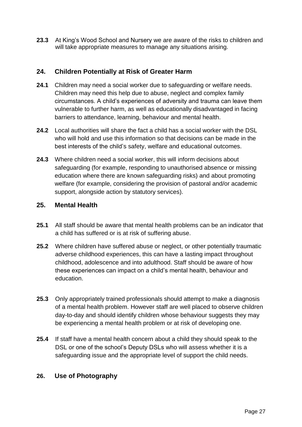**23.3** At King's Wood School and Nursery we are aware of the risks to children and will take appropriate measures to manage any situations arising.

# **24. Children Potentially at Risk of Greater Harm**

- **24.1** Children may need a social worker due to safeguarding or welfare needs. Children may need this help due to abuse, neglect and complex family circumstances. A child's experiences of adversity and trauma can leave them vulnerable to further harm, as well as educationally disadvantaged in facing barriers to attendance, learning, behaviour and mental health.
- **24.2** Local authorities will share the fact a child has a social worker with the DSL who will hold and use this information so that decisions can be made in the best interests of the child's safety, welfare and educational outcomes.
- **24.3** Where children need a social worker, this will inform decisions about safeguarding (for example, responding to unauthorised absence or missing education where there are known safeguarding risks) and about promoting welfare (for example, considering the provision of pastoral and/or academic support, alongside action by statutory services).

# **25. Mental Health**

- **25.1** All staff should be aware that mental health problems can be an indicator that a child has suffered or is at risk of suffering abuse.
- **25.2** Where children have suffered abuse or neglect, or other potentially traumatic adverse childhood experiences, this can have a lasting impact throughout childhood, adolescence and into adulthood. Staff should be aware of how these experiences can impact on a child's mental health, behaviour and education.
- **25.3** Only appropriately trained professionals should attempt to make a diagnosis of a mental health problem. However staff are well placed to observe children day-to-day and should identify children whose behaviour suggests they may be experiencing a mental health problem or at risk of developing one.
- **25.4** If staff have a mental health concern about a child they should speak to the DSL or one of the school's Deputy DSLs who will assess whether it is a safeguarding issue and the appropriate level of support the child needs.

# **26. Use of Photography**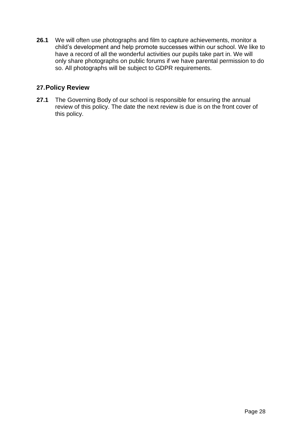**26.1** We will often use photographs and film to capture achievements, monitor a child's development and help promote successes within our school. We like to have a record of all the wonderful activities our pupils take part in. We will only share photographs on public forums if we have parental permission to do so. All photographs will be subject to GDPR requirements.

# **27.Policy Review**

**27.1** The Governing Body of our school is responsible for ensuring the annual review of this policy. The date the next review is due is on the front cover of this policy.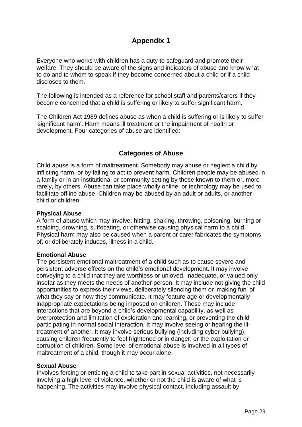# **Appendix 1**

Everyone who works with children has a duty to safeguard and promote their welfare. They should be aware of the signs and indicators of abuse and know what to do and to whom to speak if they become concerned about a child or if a child discloses to them.

The following is intended as a reference for school staff and parents/carers if they become concerned that a child is suffering or likely to suffer significant harm.

The Children Act 1989 defines abuse as when a child is suffering or is likely to suffer 'significant harm'. Harm means ill treatment or the impairment of health or development. Four categories of abuse are identified:

# **Categories of Abuse**

Child abuse is a form of maltreatment. Somebody may abuse or neglect a child by inflicting harm, or by failing to act to prevent harm. Children people may be abused in a family or in an institutional or community setting by those known to them or, more rarely, by others. Abuse can take place wholly online, or technology may be used to facilitate offline abuse. Children may be abused by an adult or adults, or another child or children.

#### **Physical Abuse**

A form of abuse which may involve; hitting, shaking, throwing, poisoning, burning or scalding, drowning, suffocating, or otherwise causing physical harm to a child. Physical harm may also be caused when a parent or carer fabricates the symptoms of, or deliberately induces, illness in a child.

#### **Emotional Abuse**

The persistent emotional maltreatment of a child such as to cause severe and persistent adverse effects on the child's emotional development. It may involve conveying to a child that they are worthless or unloved, inadequate, or valued only insofar as they meets the needs of another person. It may include not giving the child opportunities to express their views, deliberately silencing them or 'making fun' of what they say or how they communicate. It may feature age or developmentally inappropriate expectations being imposed on children. These may include interactions that are beyond a child's developmental capability, as well as overprotection and limitation of exploration and learning, or preventing the child participating in normal social interaction. It may involve seeing or hearing the illtreatment of another. It may involve serious bullying (including cyber bullying), causing children frequently to feel frightened or in danger, or the exploitation or corruption of children. Some level of emotional abuse is involved in all types of maltreatment of a child, though it may occur alone.

#### **Sexual Abuse**

Involves forcing or enticing a child to take part in sexual activities, not necessarily involving a high level of violence, whether or not the child is aware of what is happening. The activities may involve physical contact, including assault by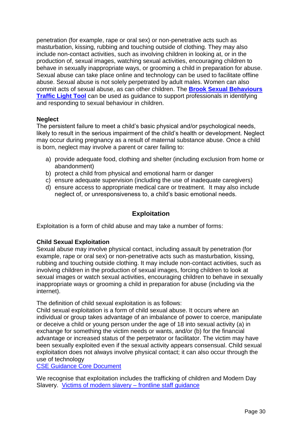penetration (for example, rape or oral sex) or non-penetrative acts such as masturbation, kissing, rubbing and touching outside of clothing. They may also include non-contact activities, such as involving children in looking at, or in the production of, sexual images, watching sexual activities, encouraging children to behave in sexually inappropriate ways, or grooming a child in preparation for abuse. Sexual abuse can take place online and technology can be used to facilitate offline abuse. Sexual abuse is not solely perpetrated by adult males. Women can also commit acts of sexual abuse, as can other children. The **[Brook Sexual Behaviours](https://www.brook.org.uk/our-work/the-sexual-behaviours-traffic-light-tool)  [Traffic Light Tool](https://www.brook.org.uk/our-work/the-sexual-behaviours-traffic-light-tool)** can be used as guidance to support professionals in identifying and responding to sexual behaviour in children.

#### **Neglect**

The persistent failure to meet a child's basic physical and/or psychological needs, likely to result in the serious impairment of the child's health or development. Neglect may occur during pregnancy as a result of maternal substance abuse. Once a child is born, neglect may involve a parent or carer failing to:

- a) provide adequate food, clothing and shelter (including exclusion from home or abandonment)
- b) protect a child from physical and emotional harm or danger
- c) ensure adequate supervision (including the use of inadequate caregivers)
- d) ensure access to appropriate medical care or treatment. It may also include neglect of, or unresponsiveness to, a child's basic emotional needs.

# **Exploitation**

Exploitation is a form of child abuse and may take a number of forms:

#### **Child Sexual Exploitation**

Sexual abuse may involve physical contact, including assault by penetration (for example, rape or oral sex) or non-penetrative acts such as masturbation, kissing, rubbing and touching outside clothing. It may include non-contact activities, such as involving children in the production of sexual images, forcing children to look at sexual images or watch sexual activities, encouraging children to behave in sexually inappropriate ways or grooming a child in preparation for abuse (including via the internet).

The definition of child sexual exploitation is as follows:

Child sexual exploitation is a form of child sexual abuse. It occurs where an individual or group takes advantage of an imbalance of power to coerce, manipulate or deceive a child or young person under the age of 18 into sexual activity (a) in exchange for something the victim needs or wants, and/or (b) for the financial advantage or increased status of the perpetrator or facilitator. The victim may have been sexually exploited even if the sexual activity appears consensual. Child sexual exploitation does not always involve physical contact; it can also occur through the use of technology

[CSE Guidance Core Document](https://assets.publishing.service.gov.uk/government/uploads/system/uploads/attachment_data/file/591903/CSE_Guidance_Core_Document_13.02.2017.pdf)

We recognise that exploitation includes the trafficking of children and Modern Day Slavery. [Victims of modern slavery –](https://assets.publishing.service.gov.uk/government/uploads/system/uploads/attachment_data/file/509326/victims-of-modern-slavery-frontline-staff-guidance-v3.pdf) frontline staff guidance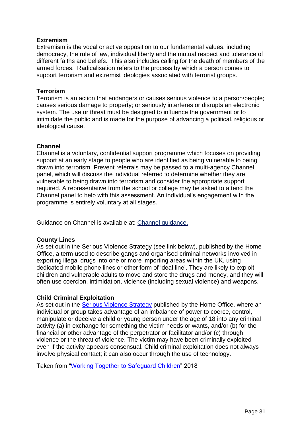#### **Extremism**

Extremism is the vocal or active opposition to our fundamental values, including democracy, the rule of law, individual liberty and the mutual respect and tolerance of different faiths and beliefs. This also includes calling for the death of members of the armed forces. Radicalisation refers to the process by which a person comes to support terrorism and extremist ideologies associated with terrorist groups.

#### **Terrorism**

Terrorism is an action that endangers or causes serious violence to a person/people; causes serious damage to property; or seriously interferes or disrupts an electronic system. The use or threat must be designed to influence the government or to intimidate the public and is made for the purpose of advancing a political, religious or ideological cause.

#### **Channel**

Channel is a voluntary, confidential support programme which focuses on providing support at an early stage to people who are identified as being vulnerable to being drawn into terrorism. Prevent referrals may be passed to a multi-agency Channel panel, which will discuss the individual referred to determine whether they are vulnerable to being drawn into terrorism and consider the appropriate support required. A representative from the school or college may be asked to attend the Channel panel to help with this assessment. An individual's engagement with the programme is entirely voluntary at all stages.

Guidance on Channel is available at: Channel guidance.

#### **County Lines**

As set out in the Serious Violence Strategy (see link below), published by the Home Office, a term used to describe gangs and organised criminal networks involved in exporting illegal drugs into one or more importing areas within the UK, using dedicated mobile phone lines or other form of 'deal line'. They are likely to exploit children and vulnerable adults to move and store the drugs and money, and they will often use coercion, intimidation, violence (including sexual violence) and weapons.

#### **Child Criminal Exploitation**

As set out in the [Serious Violence Strategy](https://www.gov.uk/government/publications/serious-violence-strategy) published by the Home Office, where an individual or group takes advantage of an imbalance of power to coerce, control, manipulate or deceive a child or young person under the age of 18 into any criminal activity (a) in exchange for something the victim needs or wants, and/or (b) for the financial or other advantage of the perpetrator or facilitator and/or (c) through violence or the threat of violence. The victim may have been criminally exploited even if the activity appears consensual. Child criminal exploitation does not always involve physical contact; it can also occur through the use of technology.

Taken from "Working Together [to Safeguard Children"](https://assets.publishing.service.gov.uk/government/uploads/system/uploads/attachment_data/file/779401/Working_Together_to_Safeguard-Children.pdf) 2018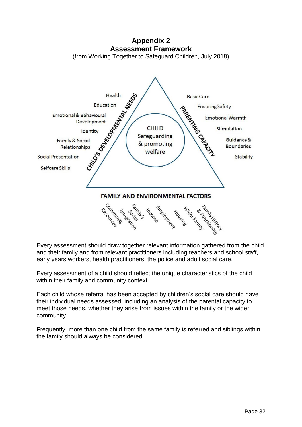

Every assessment should draw together relevant information gathered from the child and their family and from relevant practitioners including teachers and school staff, early years workers, health practitioners, the police and adult social care.

Every assessment of a child should reflect the unique characteristics of the child within their family and community context.

Each child whose referral has been accepted by children's social care should have their individual needs assessed, including an analysis of the parental capacity to meet those needs, whether they arise from issues within the family or the wider community.

Frequently, more than one child from the same family is referred and siblings within the family should always be considered.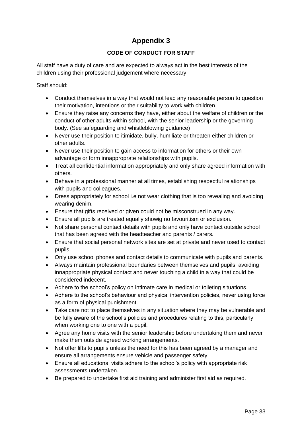# **Appendix 3**

# **CODE OF CONDUCT FOR STAFF**

All staff have a duty of care and are expected to always act in the best interests of the children using their professional judgement where necessary.

Staff should:

- Conduct themselves in a way that would not lead any reasonable person to question their motivation, intentions or their suitability to work with children.
- Ensure they raise any concerns they have, either about the welfare of children or the conduct of other adults within school, with the senior leadership or the governing body. (See safeguarding and whistleblowing guidance)
- Never use their position to itimidate, bully, humiliate or threaten either children or other adults.
- Never use their position to gain access to information for others or their own advantage or form innapproprate relationships with pupils.
- Treat all confidential information appropriately and only share agreed information with others.
- Behave in a professional manner at all times, establishing respectful relationships with pupils and colleagues.
- Dress appropriately for school i.e not wear clothing that is too revealing and avoiding wearing denim.
- Ensure that gifts received or given could not be misconstrued in any way.
- Ensure all pupils are treated equally showig no favouritism or exclusion.
- Not share personal contact details with pupils and only have contact outside school that has been agreed with the headteacher and parents / carers.
- Ensure that social personal network sites are set at private and never used to contact pupils.
- Only use school phones and contact details to communicate with pupils and parents.
- Always maintain professional boundaries between themselves and pupils, avoiding innappropriate physical contact and never touching a child in a way that could be considered indecent.
- Adhere to the school's policy on intimate care in medical or toileting situations.
- Adhere to the school's behaviour and physical intervention policies, never using force as a form of physical punishment.
- Take care not to place themselves in any situation where they may be vulnerable and be fully aware of the school's policies and procedures relating to this, particularly when working one to one with a pupil.
- Agree any home visits with the senior leadership before undertaking them and never make them outside agreed working arrangements.
- Not offer lifts to pupils unless the need for this has been agreed by a manager and ensure all arrangements ensure vehicle and passenger safety.
- Ensure all educational visits adhere to the school's policy with appropriate risk assessments undertaken.
- Be prepared to undertake first aid training and administer first aid as required.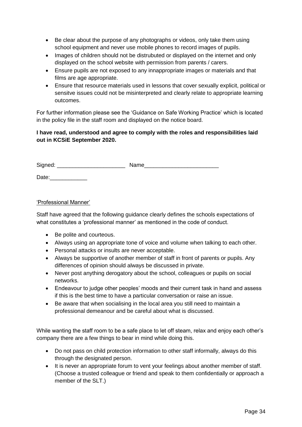- Be clear about the purpose of any photographs or videos, only take them using school equipment and never use mobile phones to record images of pupils.
- Images of children should not be distrubuted or displayed on the internet and only displayed on the school website with permission from parents / carers.
- Ensure pupils are not exposed to any innappropriate images or materials and that films are age appropriate.
- Ensure that resource materials used in lessons that cover sexually explicit, political or sensitve issues could not be misinterpreted and clearly relate to appropriate learning outcomes.

For further information please see the 'Guidance on Safe Working Practice' which is located in the policy file in the staff room and displayed on the notice board.

#### **I have read, understood and agree to comply with the roles and responsibilities laid out in KCSiE September 2020.**

| Signed: |      |
|---------|------|
|         | Name |

Date:

#### 'Professional Manner'

Staff have agreed that the following guidance clearly defines the schools expectations of what constitutes a 'professional manner' as mentioned in the code of conduct.

- Be polite and courteous.
- Always using an appropriate tone of voice and volume when talking to each other.
- Personal attacks or insults are never acceptable.
- Always be supportive of another member of staff in front of parents or pupils. Any differences of opinion should always be discussed in private.
- Never post anything derogatory about the school, colleagues or pupils on social networks.
- Endeavour to judge other peoples' moods and their current task in hand and assess if this is the best time to have a particular conversation or raise an issue.
- Be aware that when socialising in the local area you still need to maintain a professional demeanour and be careful about what is discussed.

While wanting the staff room to be a safe place to let off steam, relax and enjoy each other's company there are a few things to bear in mind while doing this.

- Do not pass on child protection information to other staff informally, always do this through the designated person.
- It is never an appropriate forum to vent your feelings about another member of staff. (Choose a trusted colleague or friend and speak to them confidentially or approach a member of the SLT.)